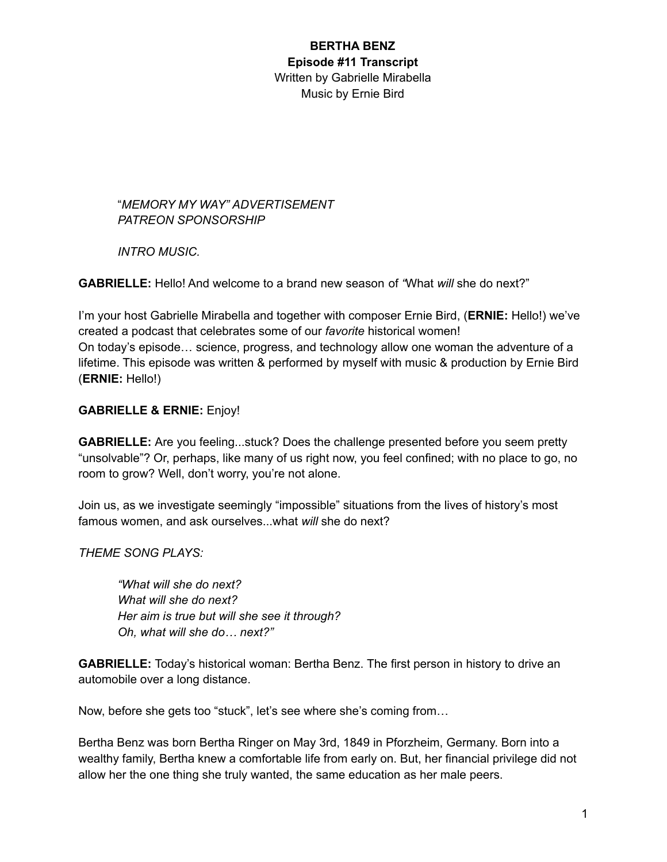"*MEMORY MY WAY" ADVERTISEMENT PATREON SPONSORSHIP*

*INTRO MUSIC.*

**GABRIELLE:** Hello! And welcome to a brand new season of *"*What *will* she do next?"

I'm your host Gabrielle Mirabella and together with composer Ernie Bird, (**ERNIE:** Hello!) we've created a podcast that celebrates some of our *favorite* historical women! On today's episode… science, progress, and technology allow one woman the adventure of a lifetime. This episode was written & performed by myself with music & production by Ernie Bird (**ERNIE:** Hello!)

### **GABRIELLE & ERNIE:** Enjoy!

**GABRIELLE:** Are you feeling...stuck? Does the challenge presented before you seem pretty "unsolvable"? Or, perhaps, like many of us right now, you feel confined; with no place to go, no room to grow? Well, don't worry, you're not alone.

Join us, as we investigate seemingly "impossible" situations from the lives of history's most famous women, and ask ourselves...what *will* she do next?

*THEME SONG PLAYS:*

*"What will she do next? What will she do next? Her aim is true but will she see it through? Oh, what will she do… next?"*

**GABRIELLE:** Today's historical woman: Bertha Benz. The first person in history to drive an automobile over a long distance.

Now, before she gets too "stuck", let's see where she's coming from…

Bertha Benz was born Bertha Ringer on May 3rd, 1849 in Pforzheim, Germany. Born into a wealthy family, Bertha knew a comfortable life from early on. But, her financial privilege did not allow her the one thing she truly wanted, the same education as her male peers.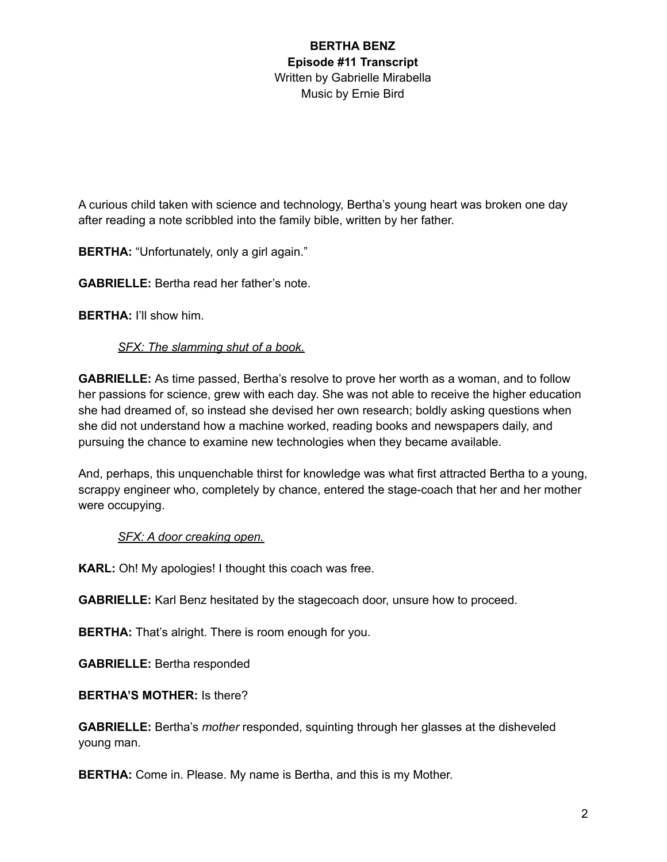A curious child taken with science and technology, Bertha's young heart was broken one day after reading a note scribbled into the family bible, written by her father.

**BERTHA:** "Unfortunately, only a girl again."

**GABRIELLE:** Bertha read her father's note.

**BERTHA:** I'll show him.

### *SFX: The slamming shut of a book.*

**GABRIELLE:** As time passed, Bertha's resolve to prove her worth as a woman, and to follow her passions for science, grew with each day. She was not able to receive the higher education she had dreamed of, so instead she devised her own research; boldly asking questions when she did not understand how a machine worked, reading books and newspapers daily, and pursuing the chance to examine new technologies when they became available.

And, perhaps, this unquenchable thirst for knowledge was what first attracted Bertha to a young, scrappy engineer who, completely by chance, entered the stage-coach that her and her mother were occupying.

### *SFX: A door creaking open.*

**KARL:** Oh! My apologies! I thought this coach was free.

**GABRIELLE:** Karl Benz hesitated by the stagecoach door, unsure how to proceed.

**BERTHA:** That's alright. There is room enough for you.

**GABRIELLE:** Bertha responded

**BERTHA'S MOTHER:** Is there?

**GABRIELLE:** Bertha's *mother* responded, squinting through her glasses at the disheveled young man.

**BERTHA:** Come in. Please. My name is Bertha, and this is my Mother.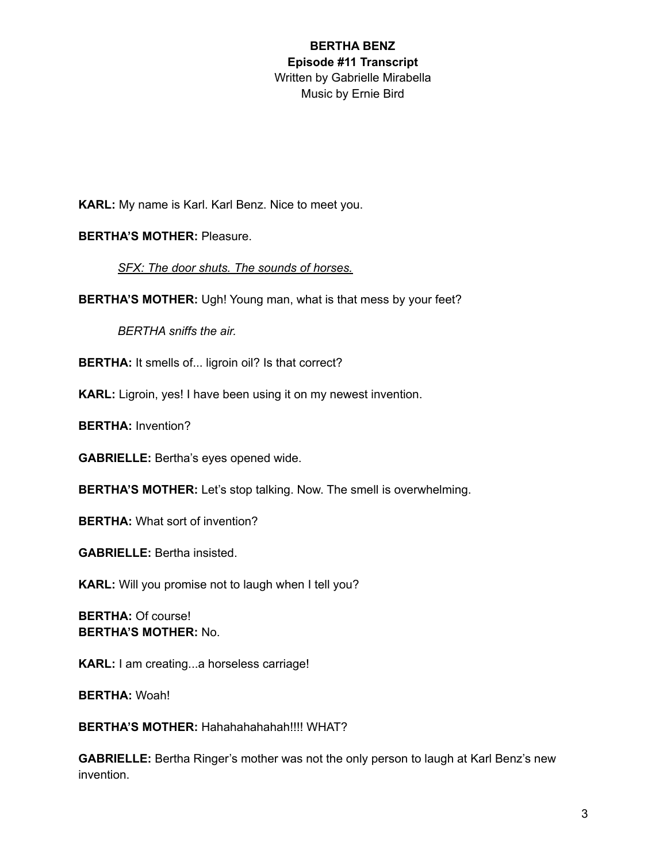**KARL:** My name is Karl. Karl Benz. Nice to meet you.

#### **BERTHA'S MOTHER:** Pleasure.

*SFX: The door shuts. The sounds of horses.*

**BERTHA'S MOTHER:** Ugh! Young man, what is that mess by your feet?

*BERTHA sniffs the air.*

**BERTHA:** It smells of... ligroin oil? Is that correct?

**KARL:** Ligroin, yes! I have been using it on my newest invention.

**BERTHA:** Invention?

**GABRIELLE:** Bertha's eyes opened wide.

**BERTHA'S MOTHER:** Let's stop talking. Now. The smell is overwhelming.

**BERTHA:** What sort of invention?

**GABRIELLE:** Bertha insisted.

**KARL:** Will you promise not to laugh when I tell you?

**BERTHA:** Of course! **BERTHA'S MOTHER:** No.

**KARL:** I am creating...a horseless carriage!

**BERTHA:** Woah!

**BERTHA'S MOTHER:** Hahahahahahah!!!! WHAT?

**GABRIELLE:** Bertha Ringer's mother was not the only person to laugh at Karl Benz's new invention.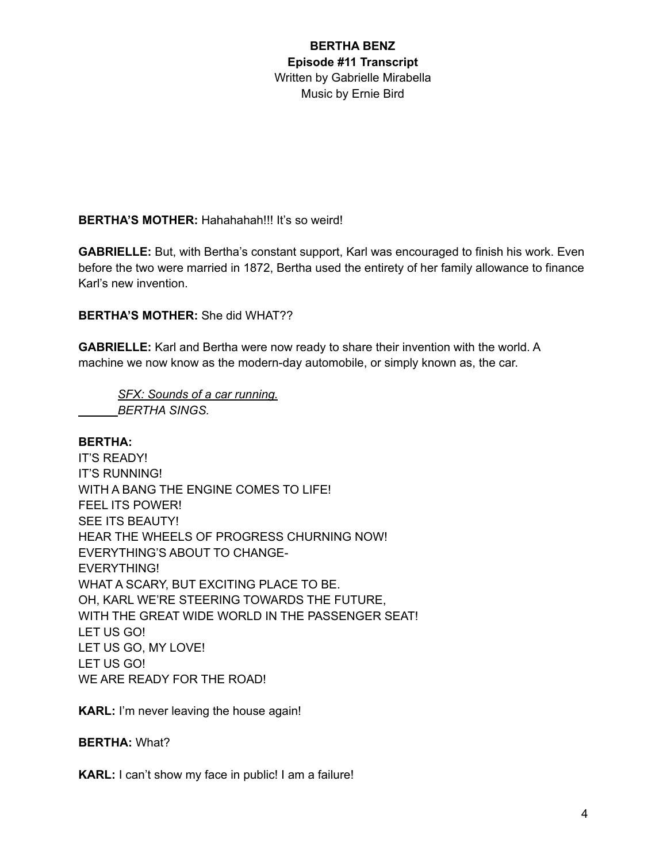**BERTHA'S MOTHER:** Hahahahah!!! It's so weird!

**GABRIELLE:** But, with Bertha's constant support, Karl was encouraged to finish his work. Even before the two were married in 1872, Bertha used the entirety of her family allowance to finance Karl's new invention.

**BERTHA'S MOTHER:** She did WHAT??

**GABRIELLE:** Karl and Bertha were now ready to share their invention with the world. A machine we now know as the modern-day automobile, or simply known as, the car.

*SFX: Sounds of a car running. BERTHA SINGS.*

### **BERTHA:**

IT'S READY! IT'S RUNNING! WITH A BANG THE ENGINE COMES TO LIFE! FEEL ITS POWER! SEE ITS BEAUTY! HEAR THE WHEELS OF PROGRESS CHURNING NOW! EVERYTHING'S ABOUT TO CHANGE-EVERYTHING! WHAT A SCARY, BUT EXCITING PLACE TO BE. OH, KARL WE'RE STEERING TOWARDS THE FUTURE, WITH THE GREAT WIDE WORLD IN THE PASSENGER SEAT! LET US GO! LET US GO, MY LOVE! LET US GO! WE ARE READY FOR THE ROAD!

**KARL:** I'm never leaving the house again!

**BERTHA:** What?

**KARL:** I can't show my face in public! I am a failure!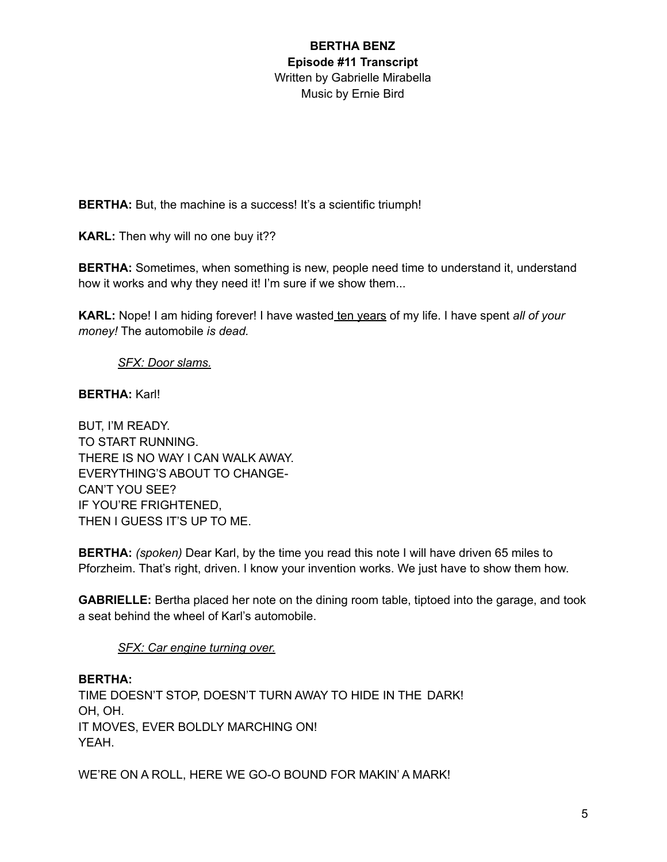**BERTHA:** But, the machine is a success! It's a scientific triumph!

**KARL:** Then why will no one buy it??

**BERTHA:** Sometimes, when something is new, people need time to understand it, understand how it works and why they need it! I'm sure if we show them...

**KARL:** Nope! I am hiding forever! I have wasted ten years of my life. I have spent *all of your money!* The automobile *is dead.*

### *SFX: Door slams.*

#### **BERTHA:** Karl!

BUT, I'M READY. TO START RUNNING. THERE IS NO WAY I CAN WALK AWAY. EVERYTHING'S ABOUT TO CHANGE-CAN'T YOU SEE? IF YOU'RE FRIGHTENED, THEN I GUESS IT'S UP TO ME.

**BERTHA:** *(spoken)* Dear Karl, by the time you read this note I will have driven 65 miles to Pforzheim. That's right, driven. I know your invention works. We just have to show them how.

**GABRIELLE:** Bertha placed her note on the dining room table, tiptoed into the garage, and took a seat behind the wheel of Karl's automobile.

### *SFX: Car engine turning over.*

**BERTHA:** TIME DOESN'T STOP, DOESN'T TURN AWAY TO HIDE IN THE DARK! OH, OH. IT MOVES, EVER BOLDLY MARCHING ON! YEAH.

WE'RE ON A ROLL, HERE WE GO-O BOUND FOR MAKIN' A MARK!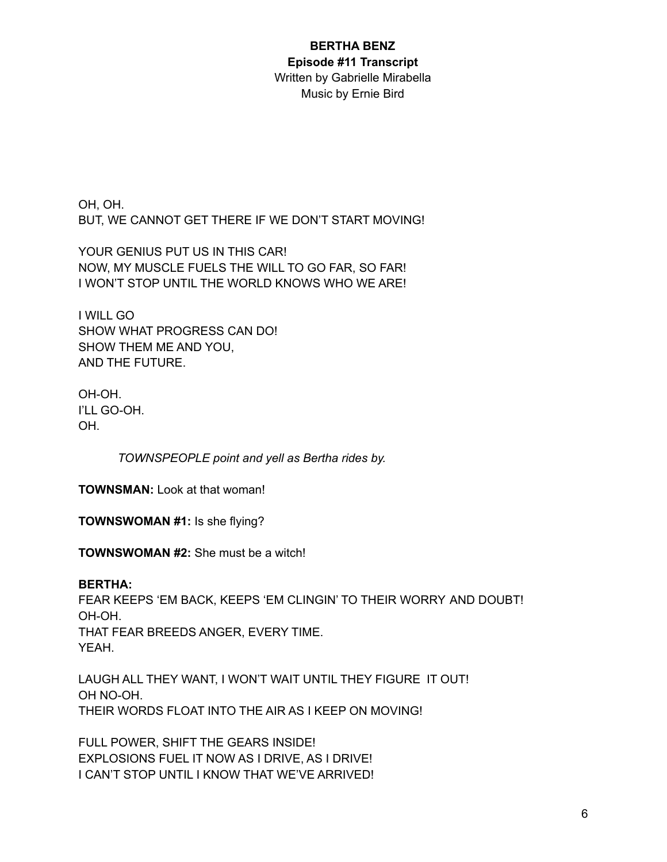# **BERTHA BENZ Episode #11 Transcript**

Written by Gabrielle Mirabella Music by Ernie Bird

OH, OH. BUT, WE CANNOT GET THERE IF WE DON'T START MOVING!

YOUR GENIUS PUT US IN THIS CAR! NOW, MY MUSCLE FUELS THE WILL TO GO FAR, SO FAR! I WON'T STOP UNTIL THE WORLD KNOWS WHO WE ARE!

I WILL GO SHOW WHAT PROGRESS CAN DO! SHOW THEM ME AND YOU, AND THE FUTURE.

OH-OH. I'LL GO-OH. OH.

*TOWNSPEOPLE point and yell as Bertha rides by.*

**TOWNSMAN:** Look at that woman!

**TOWNSWOMAN #1:** Is she flying?

**TOWNSWOMAN #2:** She must be a witch!

**BERTHA:** FEAR KEEPS 'EM BACK, KEEPS 'EM CLINGIN' TO THEIR WORRY AND DOUBT! OH-OH. THAT FEAR BREEDS ANGER, EVERY TIME. YEAH.

LAUGH ALL THEY WANT, I WON'T WAIT UNTIL THEY FIGURE IT OUT! OH NO-OH. THEIR WORDS FLOAT INTO THE AIR AS I KEEP ON MOVING!

FULL POWER, SHIFT THE GEARS INSIDE! EXPLOSIONS FUEL IT NOW AS I DRIVE, AS I DRIVE! I CAN'T STOP UNTIL I KNOW THAT WE'VE ARRIVED!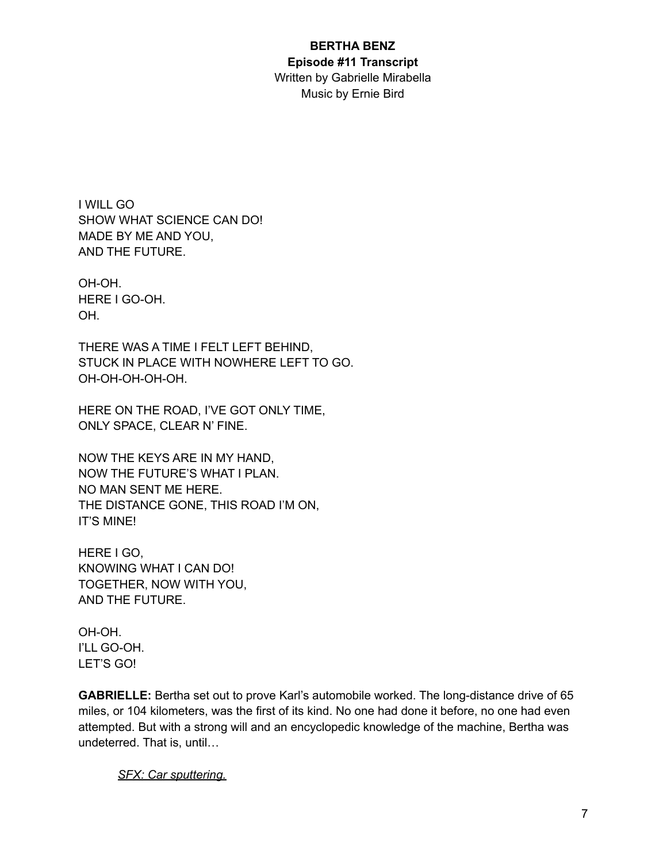#### **BERTHA BENZ Episode #11 Transcript**

Written by Gabrielle Mirabella Music by Ernie Bird

I WILL GO SHOW WHAT SCIENCE CAN DO! MADE BY ME AND YOU, AND THE FUTURE.

OH-OH. HERE I GO-OH. OH.

THERE WAS A TIME I FELT LEFT BEHIND, STUCK IN PLACE WITH NOWHERE LEFT TO GO. OH-OH-OH-OH-OH.

HERE ON THE ROAD, I'VE GOT ONLY TIME, ONLY SPACE, CLEAR N' FINE.

NOW THE KEYS ARE IN MY HAND, NOW THE FUTURE'S WHAT I PLAN. NO MAN SENT ME HERE. THE DISTANCE GONE, THIS ROAD I'M ON, IT'S MINE!

HERE I GO, KNOWING WHAT I CAN DO! TOGETHER, NOW WITH YOU, AND THE FUTURE.

OH-OH. I'LL GO-OH. LET'S GO!

**GABRIELLE:** Bertha set out to prove Karl's automobile worked. The long-distance drive of 65 miles, or 104 kilometers, was the first of its kind. No one had done it before, no one had even attempted. But with a strong will and an encyclopedic knowledge of the machine, Bertha was undeterred. That is, until…

*SFX: Car sputtering.*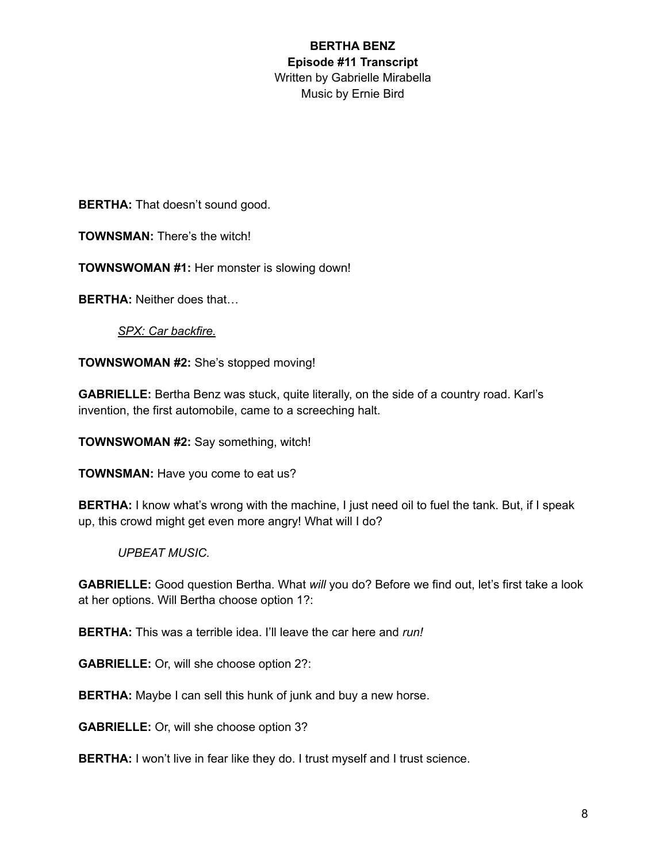**BERTHA:** That doesn't sound good.

**TOWNSMAN:** There's the witch!

**TOWNSWOMAN #1:** Her monster is slowing down!

**BERTHA:** Neither does that…

*SPX: Car backfire.*

**TOWNSWOMAN #2:** She's stopped moving!

**GABRIELLE:** Bertha Benz was stuck, quite literally, on the side of a country road. Karl's invention, the first automobile, came to a screeching halt.

**TOWNSWOMAN #2:** Say something, witch!

**TOWNSMAN:** Have you come to eat us?

**BERTHA:** I know what's wrong with the machine, I just need oil to fuel the tank. But, if I speak up, this crowd might get even more angry! What will I do?

#### *UPBEAT MUSIC.*

**GABRIELLE:** Good question Bertha. What *will* you do? Before we find out, let's first take a look at her options. Will Bertha choose option 1?:

**BERTHA:** This was a terrible idea. I'll leave the car here and *run!*

**GABRIELLE:** Or, will she choose option 2?:

**BERTHA:** Maybe I can sell this hunk of junk and buy a new horse.

**GABRIELLE:** Or, will she choose option 3?

**BERTHA:** I won't live in fear like they do. I trust myself and I trust science.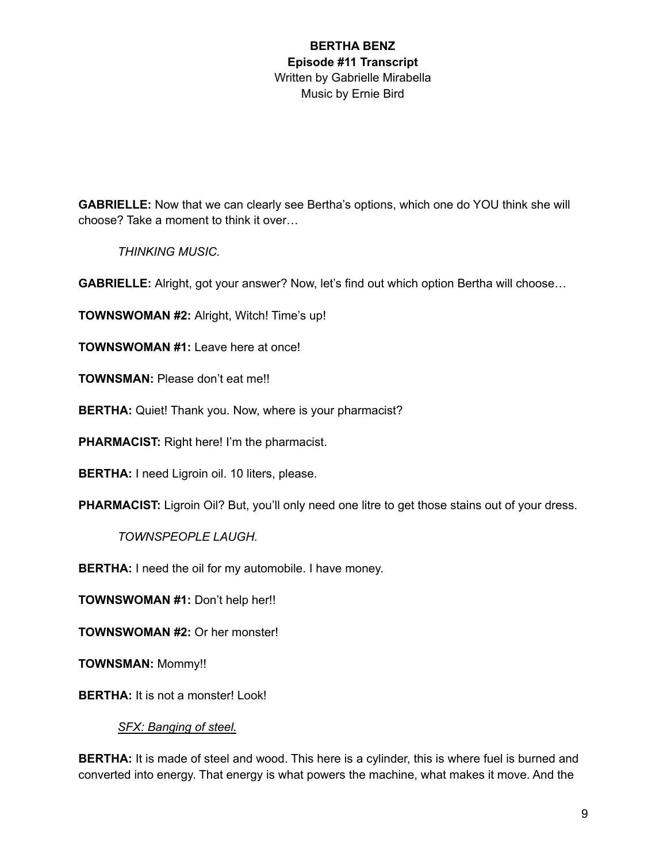**GABRIELLE:** Now that we can clearly see Bertha's options, which one do YOU think she will choose? Take a moment to think it over…

*THINKING MUSIC.*

**GABRIELLE:** Alright, got your answer? Now, let's find out which option Bertha will choose…

**TOWNSWOMAN #2:** Alright, Witch! Time's up!

**TOWNSWOMAN #1:** Leave here at once!

**TOWNSMAN:** Please don't eat me!!

**BERTHA:** Quiet! Thank you. Now, where is your pharmacist?

**PHARMACIST:** Right here! I'm the pharmacist.

**BERTHA:** I need Ligroin oil. 10 liters, please.

**PHARMACIST:** Ligroin Oil? But, you'll only need one litre to get those stains out of your dress.

*TOWNSPEOPLE LAUGH.*

**BERTHA:** I need the oil for my automobile. I have money.

**TOWNSWOMAN #1:** Don't help her!!

**TOWNSWOMAN #2:** Or her monster!

**TOWNSMAN:** Mommy!!

**BERTHA:** It is not a monster! Look!

*SFX: Banging of steel.*

**BERTHA:** It is made of steel and wood. This here is a cylinder, this is where fuel is burned and converted into energy. That energy is what powers the machine, what makes it move. And the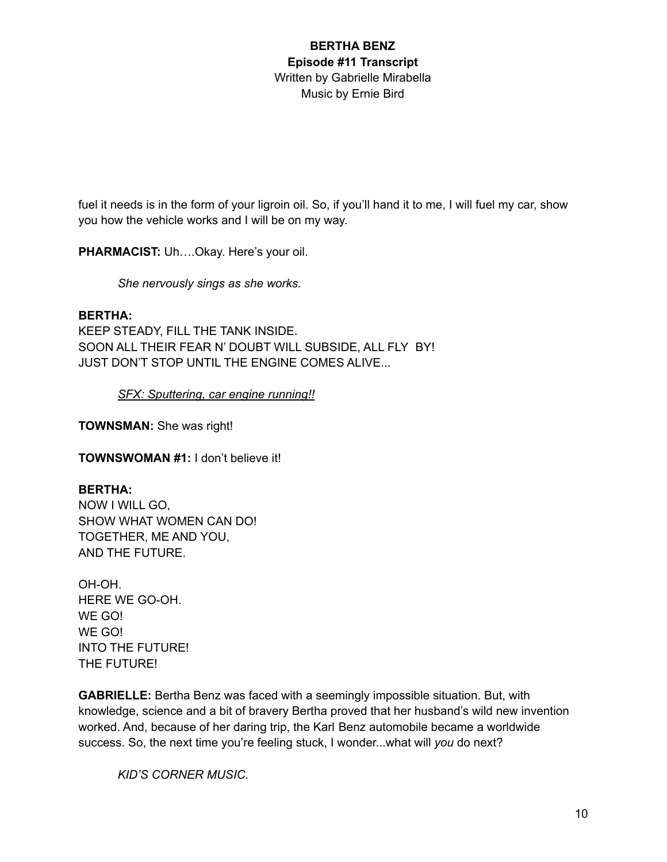fuel it needs is in the form of your ligroin oil. So, if you'll hand it to me, I will fuel my car, show you how the vehicle works and I will be on my way.

**PHARMACIST:** Uh….Okay. Here's your oil.

*She nervously sings as she works.*

#### **BERTHA:**

KEEP STEADY, FILL THE TANK INSIDE. SOON ALL THEIR FEAR N' DOUBT WILL SUBSIDE, ALL FLY BY! JUST DON'T STOP UNTIL THE ENGINE COMES ALIVE...

*SFX: Sputtering, car engine running!!*

**TOWNSMAN:** She was right!

**TOWNSWOMAN #1:** I don't believe it!

#### **BERTHA:**

NOW I WILL GO, SHOW WHAT WOMEN CAN DO! TOGETHER, ME AND YOU, AND THE FUTURE.

OH-OH. HERE WE GO-OH. WE GO! WE GO! INTO THE FUTURE! THE FUTURE!

**GABRIELLE:** Bertha Benz was faced with a seemingly impossible situation. But, with knowledge, science and a bit of bravery Bertha proved that her husband's wild new invention worked. And, because of her daring trip, the Karl Benz automobile became a worldwide success. So, the next time you're feeling stuck, I wonder...what will *you* do next?

*KID'S CORNER MUSIC.*